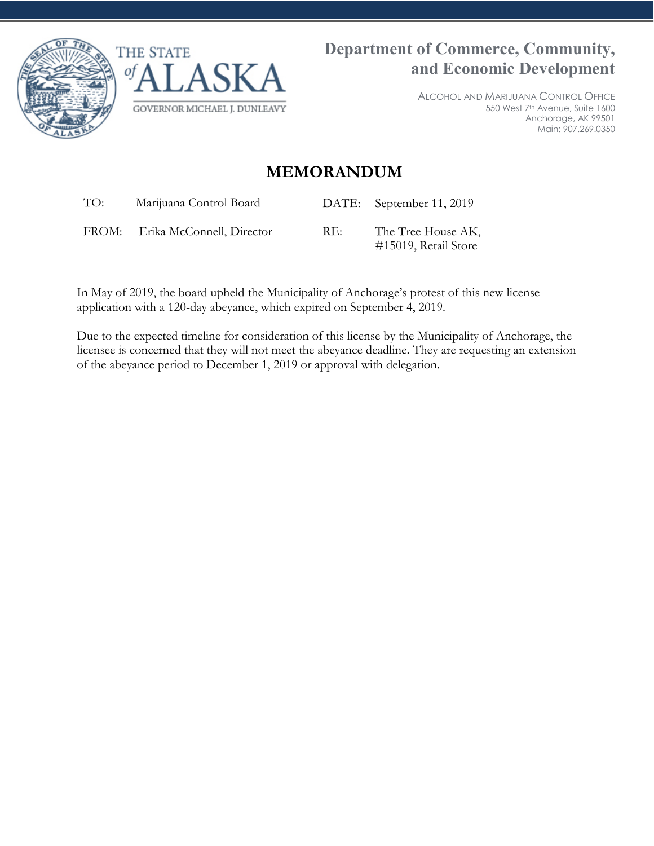



ALCOHOL AND MARIJUANA CONTROL OFFICE 550 West 7th Avenue, Suite 1600 Anchorage, AK 99501 Main: 907.269.0350

## **MEMORANDUM**

TO: Marijuana Control Board DATE: September 11, 2019

FROM: Erika McConnell, Director RE: The Tree House AK,

#15019, Retail Store

In May of 2019, the board upheld the Municipality of Anchorage's protest of this new license application with a 120-day abeyance, which expired on September 4, 2019.

Due to the expected timeline for consideration of this license by the Municipality of Anchorage, the licensee is concerned that they will not meet the abeyance deadline. They are requesting an extension of the abeyance period to December 1, 2019 or approval with delegation.